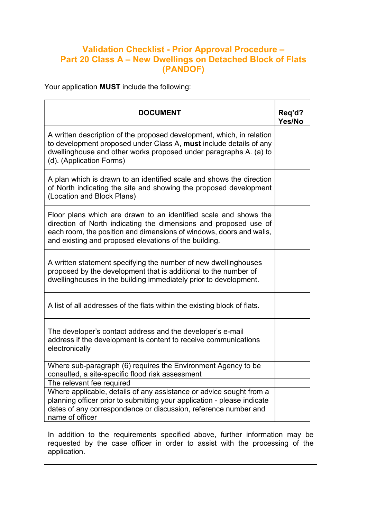## Validation Checklist - Prior Approval Procedure – Part 20 Class A – New Dwellings on Detached Block of Flats (PANDOF)

Your application MUST include the following:

| <b>DOCUMENT</b>                                                                                                                                                                                                                                                      | Req'd?<br>Yes/No |
|----------------------------------------------------------------------------------------------------------------------------------------------------------------------------------------------------------------------------------------------------------------------|------------------|
| A written description of the proposed development, which, in relation<br>to development proposed under Class A, must include details of any<br>dwellinghouse and other works proposed under paragraphs A. (a) to<br>(d). (Application Forms)                         |                  |
| A plan which is drawn to an identified scale and shows the direction<br>of North indicating the site and showing the proposed development<br>(Location and Block Plans)                                                                                              |                  |
| Floor plans which are drawn to an identified scale and shows the<br>direction of North indicating the dimensions and proposed use of<br>each room, the position and dimensions of windows, doors and walls,<br>and existing and proposed elevations of the building. |                  |
| A written statement specifying the number of new dwellinghouses<br>proposed by the development that is additional to the number of<br>dwellinghouses in the building immediately prior to development.                                                               |                  |
| A list of all addresses of the flats within the existing block of flats.                                                                                                                                                                                             |                  |
| The developer's contact address and the developer's e-mail<br>address if the development is content to receive communications<br>electronically                                                                                                                      |                  |
| Where sub-paragraph (6) requires the Environment Agency to be<br>consulted, a site-specific flood risk assessment                                                                                                                                                    |                  |
| The relevant fee required                                                                                                                                                                                                                                            |                  |
| Where applicable, details of any assistance or advice sought from a<br>planning officer prior to submitting your application - please indicate<br>dates of any correspondence or discussion, reference number and<br>name of officer                                 |                  |

In addition to the requirements specified above, further information may be requested by the case officer in order to assist with the processing of the application.